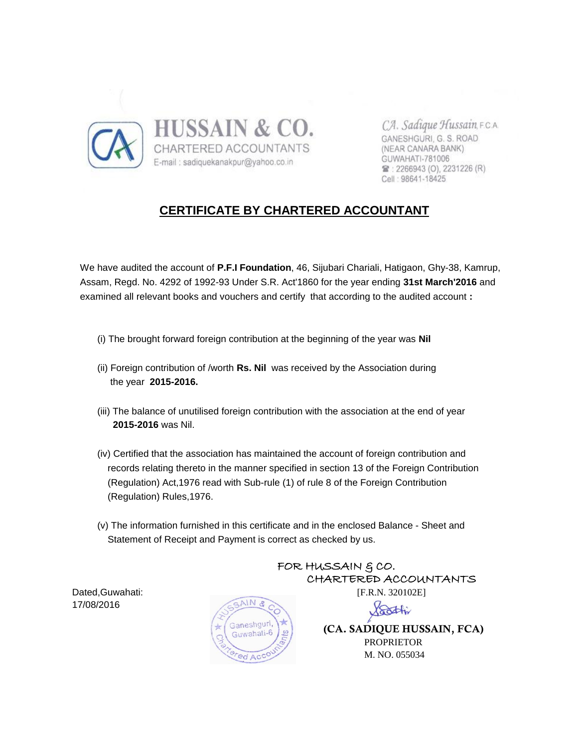

CA. Sadique Hussain, F.C.A. GANESHGURI, G. S. ROAD (NEAR CANARA BANK) GUWAHATI-781006 雷: 2266943 (O), 2231226 (R) Cell: 98641-18425

# **CERTIFICATE BY CHARTERED ACCOUNTANT**

 We have audited the account of **P.F.I Foundation**, 46, Sijubari Chariali, Hatigaon, Ghy-38, Kamrup, Assam, Regd. No. 4292 of 1992-93 Under S.R. Act'1860 for the year ending **31st March'2016** and examined all relevant books and vouchers and certify that according to the audited account **:**

- (i) The brought forward foreign contribution at the beginning of the year was **Nil**
- (ii) Foreign contribution of /worth **Rs. Nil** was received by the Association during the year **2015-2016.**
- (iii) The balance of unutilised foreign contribution with the association at the end of year  **2015-2016** was Nil.
- (iv) Certified that the association has maintained the account of foreign contribution and records relating thereto in the manner specified in section 13 of the Foreign Contribution (Regulation) Act,1976 read with Sub-rule (1) of rule 8 of the Foreign Contribution (Regulation) Rules,1976.
- (v) The information furnished in this certificate and in the enclosed Balance Sheet and Statement of Receipt and Payment is correct as checked by us.

17/08/2016



FOR HUSSAIN & CO. CHARTERED ACCOUNTANTS



 **(CA. SADIQUE HUSSAIN, FCA)** PROPRIETOR M. NO. 055034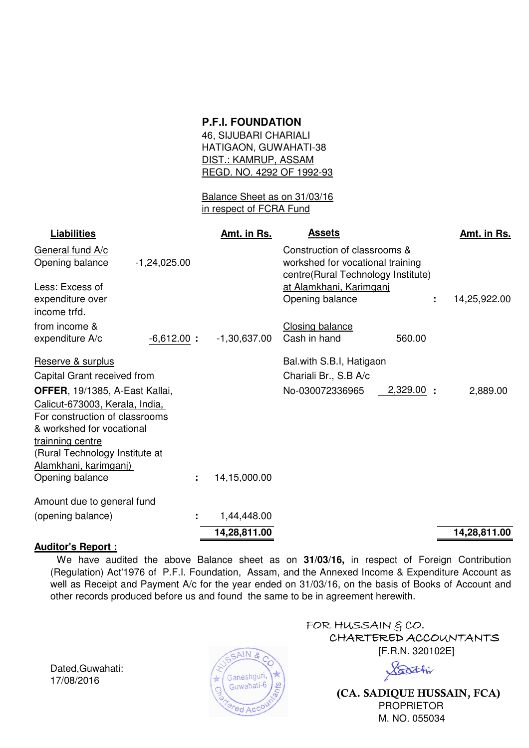# **P.F.I. FOUNDATION**

46, SIJUBARI CHARIALI HATIGAON, GUWAHATI-38 DIST.: KAMRUP, ASSAM REGD. NO. 4292 OF 1992-93

Balance Sheet as on 31/03/16 in respect of FCRA Fund

| <b>Liabilities</b>                                                                                                                                                                                                                |                | Amt. in Rs.    | <b>Assets</b>                                                                                          |           | Amt. in Rs.  |
|-----------------------------------------------------------------------------------------------------------------------------------------------------------------------------------------------------------------------------------|----------------|----------------|--------------------------------------------------------------------------------------------------------|-----------|--------------|
| General fund A/c<br>Opening balance                                                                                                                                                                                               | $-1,24,025.00$ |                | Construction of classrooms &<br>workshed for vocational training<br>centre(Rural Technology Institute) |           |              |
| Less: Excess of<br>expenditure over<br>income trfd.                                                                                                                                                                               |                |                | at Alamkhani, Karimgani<br>Opening balance                                                             |           | 14,25,922.00 |
| from income &<br>expenditure A/c                                                                                                                                                                                                  | $-6,612.00$ :  | $-1,30,637.00$ | <b>Closing balance</b><br>Cash in hand                                                                 | 560.00    |              |
| Reserve & surplus                                                                                                                                                                                                                 |                |                | Bal.with S.B.I, Hatigaon                                                                               |           |              |
| Capital Grant received from                                                                                                                                                                                                       |                |                | Chariali Br., S.B A/c                                                                                  |           |              |
| OFFER, 19/1385, A-East Kallai,<br>Calicut-673003, Kerala, India,<br>For construction of classrooms<br>& workshed for vocational<br>trainning centre<br>(Rural Technology Institute at<br>Alamkhani, karimganj)<br>Opening balance | ÷              | 14,15,000.00   | No-030072336965                                                                                        | 2,329.00: | 2,889.00     |
|                                                                                                                                                                                                                                   |                |                |                                                                                                        |           |              |
| Amount due to general fund                                                                                                                                                                                                        |                |                |                                                                                                        |           |              |
| (opening balance)                                                                                                                                                                                                                 |                | 1,44,448.00    |                                                                                                        |           |              |
|                                                                                                                                                                                                                                   |                | 14,28,811.00   |                                                                                                        |           | 14,28,811.00 |

#### **Auditor's Report :**

We have audited the above Balance sheet as on **31/03/16,** in respect of Foreign Contribution (Regulation) Act'1976 of P.F.I. Foundation, Assam, and the Annexed Income & Expenditure Account as well as Receipt and Payment A/c for the year ended on 31/03/16, on the basis of Books of Account and other records produced before us and found the same to be in agreement herewith.

Dated,Guwahati: 17/08/2016



FOR HUSSAIN  $$CO.$  CHARTERED ACCOUNTANTS [F.R.N. 320102E]

Soothi

 **(CA. SADIQUE HUSSAIN, FCA)** PROPRIETOR M. NO. 055034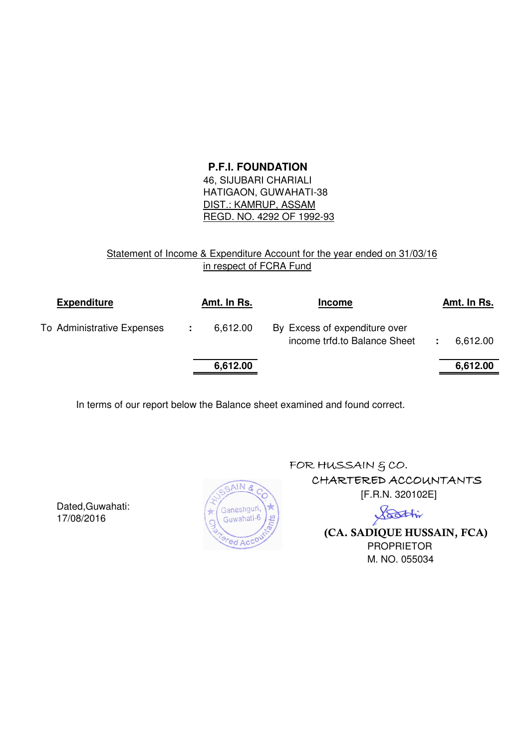#### **P.F.I. FOUNDATION**

 46, SIJUBARI CHARIALI HATIGAON, GUWAHATI-38 DIST.: KAMRUP, ASSAM REGD. NO. 4292 OF 1992-93

#### Statement of Income & Expenditure Account for the year ended on 31/03/16 in respect of FCRA Fund

| <b>Expenditure</b>         |   | Amt. In Rs. | <b>Income</b>                                                 |  | Amt. In Rs. |
|----------------------------|---|-------------|---------------------------------------------------------------|--|-------------|
| To Administrative Expenses | ÷ | 6,612.00    | By Excess of expenditure over<br>income trfd.to Balance Sheet |  | 6,612.00    |
|                            |   | 6,612.00    |                                                               |  | 6,612.00    |

In terms of our report below the Balance sheet examined and found correct.

Dated,Guwahati: 17/08/2016



FOR HUSSAIN  $6$  CO. CHARTERED ACCOUNTANTS [F.R.N. 320102E]

> Soothi  **(CA. SADIQUE HUSSAIN, FCA)** PROPRIETOR M. NO. 055034